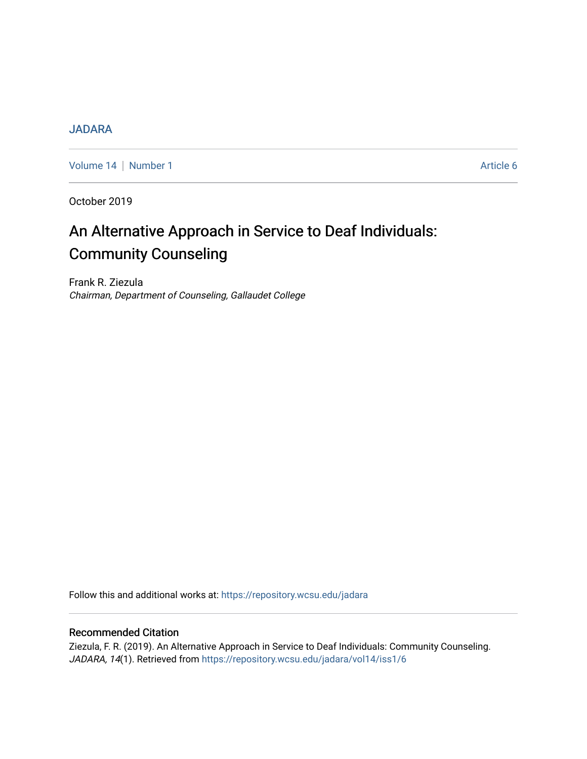## **[JADARA](https://repository.wcsu.edu/jadara)**

[Volume 14](https://repository.wcsu.edu/jadara/vol14) | [Number 1](https://repository.wcsu.edu/jadara/vol14/iss1) Article 6

October 2019

# An Alternative Approach in Service to Deaf Individuals: Community Counseling

Frank R. Ziezula Chairman, Department of Counseling, Gallaudet College

Follow this and additional works at: [https://repository.wcsu.edu/jadara](https://repository.wcsu.edu/jadara?utm_source=repository.wcsu.edu%2Fjadara%2Fvol14%2Fiss1%2F6&utm_medium=PDF&utm_campaign=PDFCoverPages)

## Recommended Citation

Ziezula, F. R. (2019). An Alternative Approach in Service to Deaf Individuals: Community Counseling. JADARA, 14(1). Retrieved from [https://repository.wcsu.edu/jadara/vol14/iss1/6](https://repository.wcsu.edu/jadara/vol14/iss1/6?utm_source=repository.wcsu.edu%2Fjadara%2Fvol14%2Fiss1%2F6&utm_medium=PDF&utm_campaign=PDFCoverPages)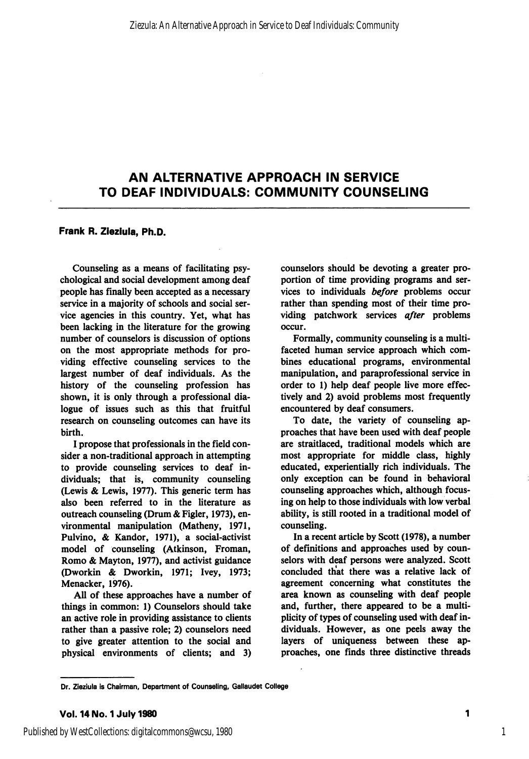#### Frank R. Zieziula, Ph.D.

Counseling as a means of facilitating psy chological and social development among deaf people has finally been accepted as a necessary service in a majority of schools and social ser vice agencies in this country. Yet, what has been lacking in the literature for the growing number of counselors is discussion of options on the most appropriate methods for pro viding effective counseling services to the largest number of deaf individuals. As the history of the counseling profession has shown, it is only through a professional dia logue of issues such as this that fruitful research on counseling outcomes can have its birth.

I propose that professionals in the field con sider a non-traditional approach in attempting to provide counseling services to deaf in dividuals; that is, community counseling (Lewis & Lewis, 1977). This generic term has also been referred to in the literature as outreach counseling (Drum & Figler, 1973), en vironmental manipulation (Matheny, 1971, Pulvino, & Kandor, 1971), a social-activist model of counseling (Atkinson, Froman, Romo & Mayton, 1977), and activist guidance (Dworkin & Dworkin, 1971; Ivey, 1973; Menacker, 1976).

All of these approaches have a number of things in common: 1) Counselors should take an active role in providing assistance to clients rather than a passive role; 2) counselors need to give greater attention to the social and physical environments of clients; and 3)

counselors should be devoting a greater pro portion of time providing programs and ser vices to individuals before problems occur rather than spending most of their time pro viding patchwork services after problems occur.

Formally, community counseling is a multifaceted human service approach which com bines educational programs, environmental manipulation, and paraprofessional service in order to 1) help deaf people live more effec tively and 2) avoid problems most frequently encountered by deaf consumers.

To date, the variety of counseling ap proaches that have been used with deaf people are straitlaced, traditional models which are most appropriate for middle class, highly educated, experientially rich individuals. The only exception can be found in behavioral counseling approaches which, although focus ing on help to those individuals with low verbal ability, is still rooted in a traditional model of counseling.

In a recent article by Scott (1978), a number of definitions and approaches used by counselors with deaf persons were analyzed. Scott concluded that there was a relative lack of agreement concerning what constitutes the area known as counseling with deaf people and, further, there appeared to be a multi plicity of types of counseling used with deaf in dividuals. However, as one peels away the layers of uniqueness between these ap proaches, one tinds three distinctive threads

1

Dr. Zieziula is Chairman, Department of Counseling, Gallaudet College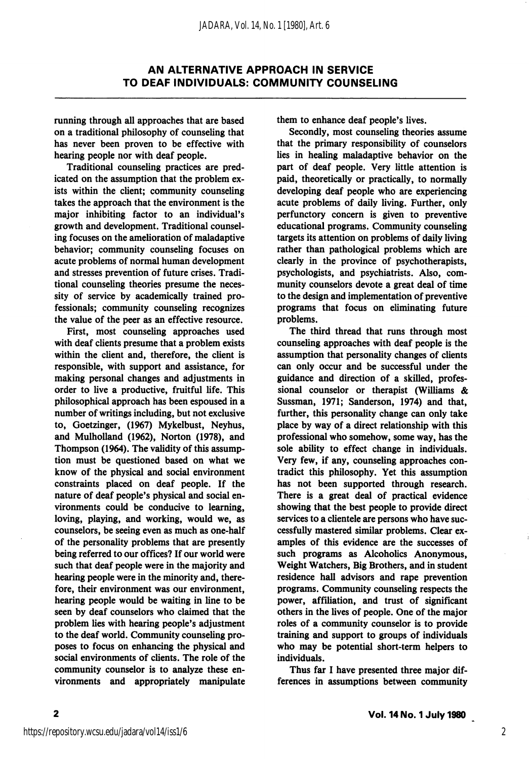running through all approaches that are based on a traditional philosophy of counseling that has never been proven to be effective with hearing people nor with deaf people.

Traditional counseling practices are pred icated on the assumption that the problem ex ists within the client; community counseling takes the approach that the environment is the major inhibiting factor to an individual's growth and development. Traditional counsel ing focuses on the amelioration of maladaptive behavior; community counseling focuses on acute problems of normal human development and stresses prevention of future crises. Tradi tional counseling theories presume the neces sity of service by academically trained pro fessionals; community counseling recognizes the value of the peer as an effective resource.

First, most counseling approaches used with deaf clients presume that a problem exists within the client and, therefore, the client is responsible, with support and assistance, for making personal changes and adjustments in order to live a productive, fruitful life. This philosophical approach has been espoused in a number of writings including, but not exclusive to, Goetzinger, (1967) Mykelbust, Neyhus, and Mulholland (1962), Norton (1978), and Thompson (1964). The validity of this assump tion must be questioned based on what we know of the physical and social environment constraints placed on deaf people. If the nature of deaf people's physical and social en vironments could be conducive to learning, loving, playing, and working, would we, as counselors, be seeing even as much as one-half of the personality problems that are presently being referred to our offices? If our world were such that deaf people were in the majority and hearing people were in the minority and, there fore, their environment was our environment, hearing people would be waiting in line to be seen by deaf counselors who claimed that the problem lies with hearing people's adjustment to the deaf world. Community counseling proposes to focus on enhancing the physical and social environments of clients. The role of the community counselor is to analyze these en vironments and appropriately manipulate them to enhance deaf people's lives.

Secondly, most counseling theories assume that the primary responsibility of counselors lies in healing maladaptive behavior on the part of deaf people. Very little attention is paid, theoretically or practically, to normally developing deaf people who are experiencing acute problems of daily living. Further, only perfunctory concern is given to preventive educational programs. Community counseling targets its attention on problems of daily living rather than pathological problems which are clearly in the province of psychotherapists, psychologists, and psychiatrists. Also, com munity counselors devote a great deal of time to the design and implementation of preventive programs that focus on eliminating future problems.

The third thread that runs through most counseling approaches with deaf people is the assumption that personality changes of clients can only occur and be successful under the guidance and direction of a skilled, profes sional counselor or therapist (Williams & Sussman, 1971; Sanderson, 1974) and that, further, this personality change can only take place by way of a direct relationship with this professional who somehow, some way, has the sole ability to effect change in individuals. Very few, if any, counseling approaches con tradict this philosophy. Yet this assumption has not been supported through research. There is a great deal of practical evidence showing that the best people to provide direct services to a clientele are persons who have suc cessfully mastered similar problems. Clear ex amples of this evidence are the successes of such programs as Alcoholics Anonymous, Weight Watchers, Big Brothers, and in student residence hall advisors and rape prevention programs. Community counseling respects the power, affiliation, and trust of significant others in the lives of people. One of the major roles of a community counselor is to provide training and support to groups of individuals who may be potential short-term helpers to individuals.

Thus far I have presented three major dif ferences in assumptions between community

 $\overline{\mathbf{2}}$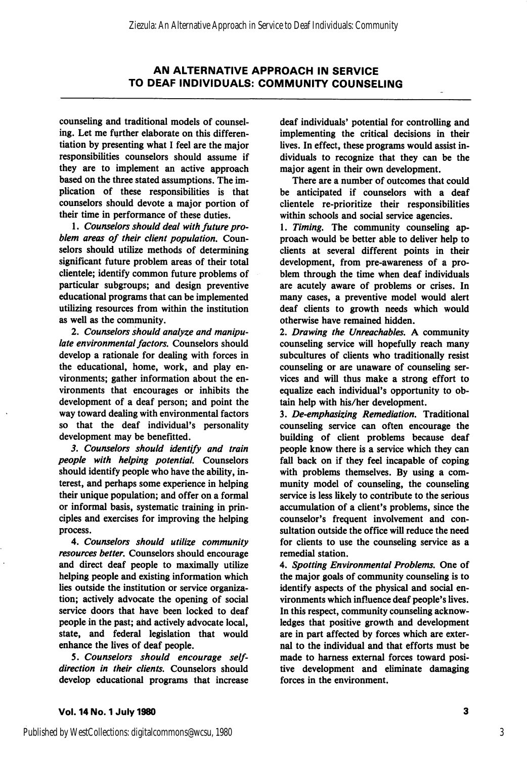counseling and traditional models of counsel ing. Let me further elaborate on this differen tiation by presenting what I feel are the major responsibilities counselors should assume if they are to implement an active approach based on the three stated assumptions. The im plication of these responsibilities is that counselors should devote a major portion of their time in performance of these duties.

1. Counselors should deal with future pro blem areas of their client population. Coun selors should utilize methods of determining significant future problem areas of their total clientele; identify common future problems of particular subgroups; and design preventive educational programs that can be implemented utilizing resources from within the institution as well as the community.

2. Counselors should analyze and manipu late environmental factors. Counselors should develop a rationale for dealing with forces in the educational, home, work, and play en vironments; gather information about the en vironments that encourages or inhibits the development of a deaf person; and point the way toward dealing with environmental factors so that the deaf individual's personality development may be benefitted.

3. Counselors should identify and train people with helping potential. Counselors should identify people who have the ability, in terest, and perhaps some experience in helping their unique population; and offer on a formal or informal basis, systematic training in prin ciples and exercises for improving the helping process.

4. Counselors should utilize community resources better. Counselors should encourage and direct deaf people to maximally utilize helping people and existing information which lies outside the institution or service organiza tion; actively advocate the opening of social service doors that have been locked to deaf people in the past; ahd actively advocate local, state, and federal legislation that would enhance the lives of deaf people.

5. Counselors should encourage selfdirection in their clients. Counselors should develop educational programs that increase deaf individuals' potential for controlling and implementing the critical decisions in their lives. In effect, these programs would assist in dividuals to recognize that they can be the major agent in their own development.

There are a number of outcomes that could be anticipated if counselors with a deaf clientele re-prioritize their responsibilities within schools and social service agencies.

1. Timing. The community counseling approach would be better able to deliver help to clients at several different points in their development, from pre-awareness of a pro blem through the time when deaf individuals are acutely aware of problems or crises. In many cases, a preventive model would alert deaf clients to growth needs which would otherwise have remained hidden.

2. Drawing the Unreachables, A community counseling service will hopefully reach many subcultures of clients who traditionally resist counseling or are unaware of counseling ser vices and will thus make a strong effort to equalize each individual's opportunity to ob tain help with his/her development.

3. De-emphasizing Remediation, Traditional counseling service can often encourage the building of client problems because deaf people know there is a service which they can fall back on if they feel incapable of coping with problems themselves. By using a com munity model of counseling, the counseling service is less likely to contribute to the serious accumulation of a client's problems, since the counselor's frequent involvement and consultation outside the office will reduce the need for clients to use the counseling service as a remedial station.

4. Spotting Environmental Problems, One of the major goals of community counseling is to identify aspects of the physical and social en vironments which influence deaf people's lives. In this respect, community counseling acknow ledges that positive growth and development are in part affected by forces which are exter nal to the individual and that efforts must be made to harness external forces toward posi tive development and eliminate damaging forces in the environment.

3

3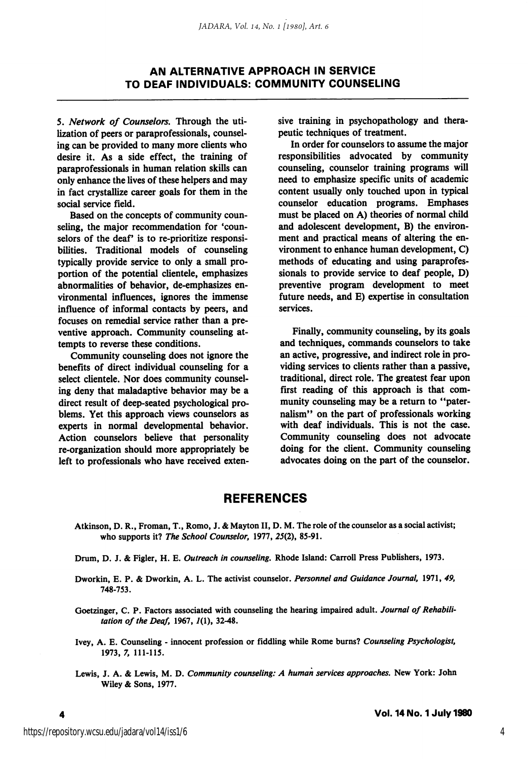5. Network of Counselors, Through the uti lization of peers or paraprofessionals, counsel ing can be provided to many more clients who desire it. As a side effect, the training of paraprofessionals in human relation skills can only enhance the lives of these helpers and may in fact crystallize career goals for them in the social service field.

Based on the concepts of community coun seling, the major recommendation for 'coun selors of the deaf' is to re-prioritize responsibilities. Traditional models of counseling typically provide service to only a small pro portion of the potential clientele, emphasizes abnormalities of behavior, de-emphasizes en vironmental influences, ignores the immense influence of informal contacts by peers, and focuses on remedial service rather than a pre ventive approach. Community counseling at tempts to reverse these conditions.

Community counseling does not ignore the benefits of direct individual counseling for a select clientele. Nor does community counseling deny that maladaptive behavior may be a direct result of deep-seated psychological pro blems. Yet this approach views counselors as experts in normal developmental behavior. Action counselors believe that personality re-organization should more appropriately be left to professionals who have received exten

sive training in psychopathology and thera peutic techniques of treatment.

In order for counselors to assume the major responsibilities advocated by community counseling, counselor training programs will need to emphasize specific units of academic content usually only touched upon in typical counselor education programs. Emphases must be placed on A) theories of normal child and adolescent development, B) the environ ment and practical means of altering the en vironment to enhance human development, C) methods of educating and using paraprofes sionals to provide service to deaf people, D) preventive program development to meet future needs, and E) expertise in consultation services.

Finally, community counseling, by its goals and techniques, commands counselors to take an active, progressive, and indirect role in pro viding services to clients rather than a passive, traditional, direct role. The greatest fear upon first reading of this approach is that com munity counseling may be a return to "pater nalism" on the part of professionals working with deaf individuals. This is not the case. Community counseling does not advocate doing for the client. Community counseling advocates doing on the part of the counselor.

#### **REFERENCES**

- Atkinson, D. R., Froman, T., Rome, J. & Mayton II, D. M. The role of the counselor as a social activist; who supports it? The School Counselor, 1977, 25(2), 85-91.
- Drum, D. J. & Figler, H. E. Outreach in counseling, Rhode Island: Carroll Press Publishers, 1973.
- Dworkin, E. P. & Dworkin, A. L. The activist counselor. Personnel and Guidance Journal, 1971, 49, 748-753.

Goetzinger, C. P. Factors associated with counseling the hearing impaired adult. Journal of Rehabilitation of the Deaf, 1967,  $I(1)$ , 32-48.

- Ivey, A. E. Counseling innocent profession or fiddling while Rome burns? Counseling Psychologist, 1973, 7, 111-115.
- Lewis, J. A. & Lewis, M. D. Community counseling: A human services approaches. New York: John Wiley & Sons, 1977.